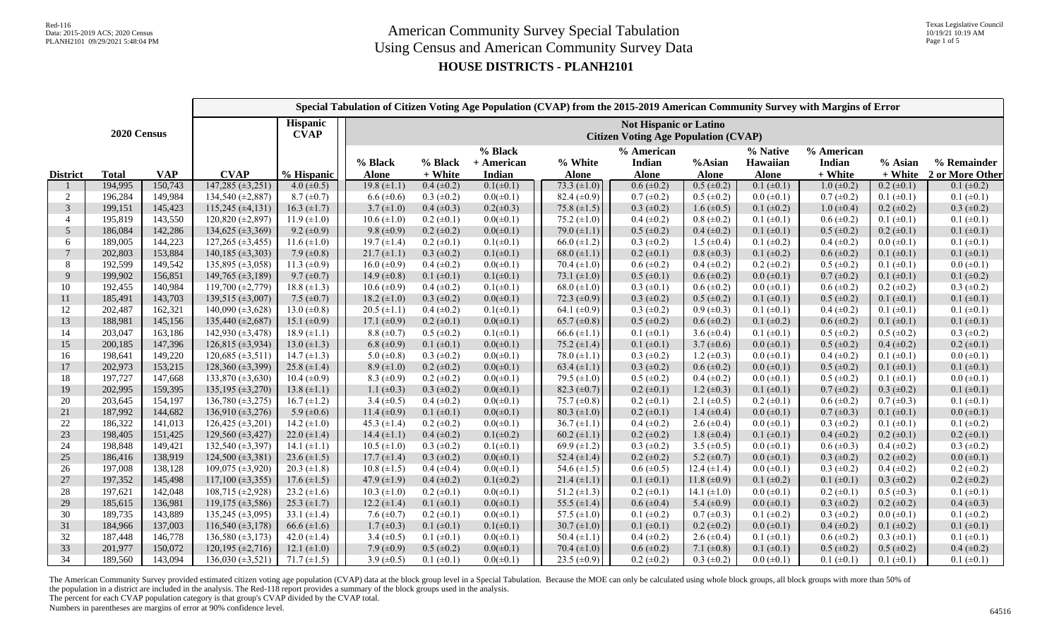Texas Legislative Council

## **HOUSE DISTRICTS - PLANH2101**

|                                        |              |            |                                                                       |                    | Special Tabulation of Citizen Voting Age Population (CVAP) from the 2015-2019 American Community Survey with Margins of Error |                      |                                 |                         |                                      |                        |                                      |                                 |                    |                                |  |
|----------------------------------------|--------------|------------|-----------------------------------------------------------------------|--------------------|-------------------------------------------------------------------------------------------------------------------------------|----------------------|---------------------------------|-------------------------|--------------------------------------|------------------------|--------------------------------------|---------------------------------|--------------------|--------------------------------|--|
| Hispanic<br>2020 Census<br><b>CVAP</b> |              |            | Not Hispanic or Latino<br><b>Citizen Voting Age Population (CVAP)</b> |                    |                                                                                                                               |                      |                                 |                         |                                      |                        |                                      |                                 |                    |                                |  |
| <b>District</b>                        | <b>Total</b> | <b>VAP</b> | <b>CVAP</b>                                                           | % Hispanic         | % Black<br><b>Alone</b>                                                                                                       | % Black<br>$+$ White | % Black<br>+ American<br>Indian | % White<br><b>Alone</b> | % American<br>Indian<br><b>Alone</b> | %Asian<br><b>Alone</b> | % Native<br>Hawaiian<br><b>Alone</b> | % American<br>Indian<br>+ White | % Asian<br>+ White | % Remainder<br>2 or More Other |  |
|                                        | 194,995      | 150,743    | $147,285 \ (\pm 3,251)$                                               | $4.0 \ (\pm 0.5)$  | $19.8 (\pm 1.1)$                                                                                                              | $0.4 (\pm 0.2)$      | $0.1(\pm 0.1)$                  | 73.3 $(\pm 1.0)$        | $0.6 (\pm 0.2)$                      | $0.5 (\pm 0.2)$        | $0.1 (\pm 0.1)$                      | $1.0 \ (\pm 0.2)$               | $0.2 (\pm 0.1)$    | $0.1 (\pm 0.2)$                |  |
| 2                                      | 196,284      | 149,984    | 134,540 (±2,887)                                                      | $8.7 (\pm 0.7)$    | $6.6 \ (\pm 0.6)$                                                                                                             | $0.3 \ (\pm 0.2)$    | $0.0(\pm 0.1)$                  | 82.4 $(\pm 0.9)$        | $0.7 (\pm 0.2)$                      | $0.5 (\pm 0.2)$        | $0.0 \ (\pm 0.1)$                    | $0.7 (\pm 0.2)$                 | $0.1 (\pm 0.1)$    | $0.1 (\pm 0.1)$                |  |
| 3                                      | 199,151      | 145,423    | $115,245 \ (\pm 4,131)$                                               | 16.3 $(\pm 1.7)$   | $3.7 (\pm 1.0)$                                                                                                               | $0.4 (\pm 0.3)$      | $0.2(\pm 0.3)$                  | 75.8 $(\pm 1.5)$        | $0.3 \ (\pm 0.2)$                    | $1.6 \ (\pm 0.5)$      | $0.1 (\pm 0.2)$                      | $1.0 \ (\pm 0.4)$               | $0.2 \ (\pm 0.2)$  | $0.3 (\pm 0.2)$                |  |
| $\overline{4}$                         | 195,819      | 143,550    | 120,820 (±2,897)                                                      | $11.9 \ (\pm 1.0)$ | $10.6 (\pm 1.0)$                                                                                                              | $0.2 \ (\pm 0.1)$    | $0.0(\pm 0.1)$                  | 75.2 $(\pm 1.0)$        | $0.4 (\pm 0.2)$                      | $0.8 (\pm 0.2)$        | $0.1 (\pm 0.1)$                      | $0.6 (\pm 0.2)$                 | $0.1 (\pm 0.1)$    | $0.1 (\pm 0.1)$                |  |
| 5                                      | 186,084      | 142,286    | 134,625 (±3,369)                                                      | $9.2 \ (\pm 0.9)$  | 9.8 ( $\pm$ 0.9)                                                                                                              | $0.2 (\pm 0.2)$      | $0.0(\pm 0.1)$                  | 79.0 $(\pm 1.1)$        | $0.5 (\pm 0.2)$                      | $0.4 (\pm 0.2)$        | $0.1 (\pm 0.1)$                      | $0.5 (\pm 0.2)$                 | $0.2 \ (\pm 0.1)$  | $0.1 (\pm 0.1)$                |  |
| 6                                      | 189,005      | 144,223    | $127,265 \ (\pm 3,455)$                                               | 11.6 $(\pm 1.0)$   | 19.7 $(\pm 1.4)$                                                                                                              | $0.2 \ (\pm 0.1)$    | $0.1(\pm 0.1)$                  | 66.0 $(\pm 1.2)$        | $0.3 \ (\pm 0.2)$                    | $1.5 \ (\pm 0.4)$      | $0.1 (\pm 0.2)$                      | $0.4 (\pm 0.2)$                 | $0.0 \ (\pm 0.1)$  | $0.1 (\pm 0.1)$                |  |
| $\tau$                                 | 202,803      | 153,884    | $140,185 \ (\pm 3,303)$                                               | 7.9 $(\pm 0.8)$    | $21.7 (\pm 1.1)$                                                                                                              | $0.3 \ (\pm 0.2)$    | $0.1(\pm 0.1)$                  | 68.0 $(\pm 1.1)$        | $0.2 \ (\pm 0.1)$                    | $0.8 (\pm 0.3)$        | $0.1 (\pm 0.2)$                      | $0.6 (\pm 0.2)$                 | $0.1 (\pm 0.1)$    | $0.1 (\pm 0.1)$                |  |
| 8                                      | 192,599      | 149,542    | $135,895 \ (\pm 3,058)$                                               | 11.3 $(\pm 0.9)$   | 16.0 $(\pm 0.9)$                                                                                                              | $0.4 (\pm 0.2)$      | $0.0(\pm 0.1)$                  | 70.4 $(\pm 1.0)$        | $0.6 (\pm 0.2)$                      | $0.4 (\pm 0.2)$        | $0.2 \ (\pm 0.2)$                    | $0.5 \ (\pm 0.2)$               | $0.1 (\pm 0.1)$    | $0.0$ ( $\pm 0.1$ )            |  |
| 9                                      | 199,902      | 156,851    | 149,765 ( $\pm$ 3,189)                                                | $9.7 \ (\pm 0.7)$  | 14.9 $(\pm 0.8)$                                                                                                              | $0.1 (\pm 0.1)$      | $0.1(\pm 0.1)$                  | 73.1 $(\pm 1.0)$        | $0.5 (\pm 0.1)$                      | $0.6 (\pm 0.2)$        | $0.0 \ (\pm 0.1)$                    | $0.7 (\pm 0.2)$                 | $0.1 (\pm 0.1)$    | $0.1 (\pm 0.2)$                |  |
| 10                                     | 192,455      | 140,984    | 119,700 $(\pm 2,779)$                                                 | 18.8 $(\pm 1.3)$   | $10.6 (\pm 0.9)$                                                                                                              | $0.4 (\pm 0.2)$      | $0.1(\pm 0.1)$                  | 68.0 $(\pm 1.0)$        | $0.3 (\pm 0.1)$                      | $0.6 (\pm 0.2)$        | $0.0$ ( $\pm 0.1$ )                  | $0.6 (\pm 0.2)$                 | $0.2 \ (\pm 0.2)$  | $0.3 (\pm 0.2)$                |  |
| 11                                     | 185,491      | 143,703    | 139,515 ( $\pm$ 3,007)                                                | 7.5 $(\pm 0.7)$    | $18.2 (\pm 1.0)$                                                                                                              | $0.3 \ (\pm 0.2)$    | $0.0(\pm 0.1)$                  | 72.3 $(\pm 0.9)$        | $0.3 (\pm 0.2)$                      | $0.5 (\pm 0.2)$        | $0.1 (\pm 0.1)$                      | $0.5 (\pm 0.2)$                 | $0.1 (\pm 0.1)$    | $0.1 (\pm 0.1)$                |  |
| 12                                     | 202,487      | 162,321    | $140,090 \ (\pm 3,628)$                                               | 13.0 $(\pm 0.8)$   | 20.5 $(\pm 1.1)$                                                                                                              | $0.4 (\pm 0.2)$      | $0.1(\pm 0.1)$                  | 64.1 $(\pm 0.9)$        | $0.3 \ (\pm 0.2)$                    | $0.9 \ (\pm 0.3)$      | $0.1 (\pm 0.1)$                      | $0.4 (\pm 0.2)$                 | $0.1 (\pm 0.1)$    | $0.1 (\pm 0.1)$                |  |
| 13                                     | 188,981      | 145,156    | 135,440 (±2,687)                                                      | 15.1 $(\pm 0.9)$   | 17.1 $(\pm 0.9)$                                                                                                              | $0.2 \ (\pm 0.1)$    | $0.0(\pm 0.1)$                  | 65.7 ( $\pm$ 0.8)       | $0.5 (\pm 0.2)$                      | $0.6 (\pm 0.2)$        | $0.1 (\pm 0.2)$                      | $0.6 (\pm 0.2)$                 | $0.1 (\pm 0.1)$    | $0.1 (\pm 0.1)$                |  |
| 14                                     | 203,047      | 163,186    | $142,930 \ (\pm 3,478)$                                               | $18.9 \ (\pm 1.1)$ | $8.8 (\pm 0.7)$                                                                                                               | $0.5 \ (\pm 0.2)$    | $0.1(\pm 0.1)$                  | 66.6 $(\pm 1.1)$        | $0.1 (\pm 0.1)$                      | 3.6 $(\pm 0.4)$        | $0.1 (\pm 0.1)$                      | $0.5 (\pm 0.2)$                 | $0.5 \ (\pm 0.2)$  | $0.3 (\pm 0.2)$                |  |
| 15                                     | 200,185      | 147,396    | $126,815 \ (\pm 3,934)$                                               | $13.0 (\pm 1.3)$   | 6.8 $(\pm 0.9)$                                                                                                               | $0.1 (\pm 0.1)$      | $0.0(\pm 0.1)$                  | 75.2 $(\pm 1.4)$        | $0.1 (\pm 0.1)$                      | 3.7 $(\pm 0.6)$        | $0.0 \ (\pm 0.1)$                    | $0.5 (\pm 0.2)$                 | $0.4 (\pm 0.2)$    | $0.2 \ (\pm 0.1)$              |  |
| 16                                     | 198,641      | 149,220    | $120,685 \ (\pm 3,511)$                                               | 14.7 $(\pm 1.3)$   | 5.0 $(\pm 0.8)$                                                                                                               | $0.3 \ (\pm 0.2)$    | $0.0(\pm 0.1)$                  | 78.0 $(\pm 1.1)$        | $0.3 \ (\pm 0.2)$                    | 1.2 $(\pm 0.3)$        | $0.0$ ( $\pm 0.1$ )                  | $0.4 (\pm 0.2)$                 | $0.1 (\pm 0.1)$    | $0.0$ ( $\pm 0.1$ )            |  |
| 17                                     | 202,973      | 153,215    | 128,360 (±3,399)                                                      | 25.8 $(\pm 1.4)$   | $8.9 \ (\pm 1.0)$                                                                                                             | $0.2 \ (\pm 0.2)$    | $0.0(\pm 0.1)$                  | 63.4 $(\pm 1.1)$        | $0.3 (\pm 0.2)$                      | $0.6 (\pm 0.2)$        | $0.0 \ (\pm 0.1)$                    | $0.5 (\pm 0.2)$                 | $0.1 (\pm 0.1)$    | $0.1 (\pm 0.1)$                |  |
| 18                                     | 197,727      | 147,668    | 133,870 $(\pm 3,630)$                                                 | 10.4 $(\pm 0.9)$   | 8.3 $(\pm 0.9)$                                                                                                               | $0.2 \ (\pm 0.2)$    | $0.0(\pm 0.1)$                  | 79.5 $(\pm 1.0)$        | $0.5 (\pm 0.2)$                      | $0.4 (\pm 0.2)$        | $0.0 \ (\pm 0.1)$                    | $0.5 \ (\pm 0.2)$               | $0.1 (\pm 0.1)$    | $0.0$ ( $\pm 0.1$ )            |  |
| 19                                     | 202,995      | 159,395    | 135,195 (±3,270)                                                      | 13.8 $(\pm 1.1)$   | 1.1 $(\pm 0.3)$                                                                                                               | $0.3 \ (\pm 0.2)$    | $0.0(\pm 0.1)$                  | 82.3 $(\pm 0.7)$        | $0.2 (\pm 0.1)$                      | 1.2 $(\pm 0.3)$        | $0.1 (\pm 0.1)$                      | $0.7 (\pm 0.2)$                 | $0.3 \ (\pm 0.2)$  | $0.1 (\pm 0.1)$                |  |
| 20                                     | 203,645      | 154,197    | 136,780 (±3,275)                                                      | $16.7 (\pm 1.2)$   | 3.4 $(\pm 0.5)$                                                                                                               | $0.4 (\pm 0.2)$      | $0.0(\pm 0.1)$                  | 75.7 $(\pm 0.8)$        | $0.2 \ (\pm 0.1)$                    | 2.1 $(\pm 0.5)$        | $0.2 \ (\pm 0.1)$                    | $0.6 (\pm 0.2)$                 | $0.7 (\pm 0.3)$    | $0.1 (\pm 0.1)$                |  |
| 21                                     | 187,992      | 144,682    | 136,910 (±3,276)                                                      | 5.9 $(\pm 0.6)$    | 11.4 $(\pm 0.9)$                                                                                                              | $0.1 (\pm 0.1)$      | $0.0(\pm 0.1)$                  | 80.3 $(\pm 1.0)$        | $0.2 \ (\pm 0.1)$                    | 1.4 $(\pm 0.4)$        | $0.0 \ (\pm 0.1)$                    | $0.7 (\pm 0.3)$                 | $0.1 (\pm 0.1)$    | $0.0 (\pm 0.1)$                |  |
| 22                                     | 186,322      | 141,013    | $126,425 \ (\pm 3,201)$                                               | 14.2 $(\pm 1.0)$   | 45.3 $(\pm 1.4)$                                                                                                              | $0.2 \ (\pm 0.2)$    | $0.0(\pm 0.1)$                  | $36.7 \ (\pm 1.1)$      | $0.4 (\pm 0.2)$                      | 2.6 $(\pm 0.4)$        | $0.0 \ (\pm 0.1)$                    | $0.3 \ (\pm 0.2)$               | $0.1 (\pm 0.1)$    | $0.1 (\pm 0.2)$                |  |
| 23                                     | 198,405      | 151,425    | 129,560 (±3,427)                                                      | 22.0 $(\pm 1.4)$   | $14.4 (\pm 1.1)$                                                                                                              | $0.4 (\pm 0.2)$      | $0.1(\pm 0.2)$                  | 60.2 $(\pm 1.1)$        | $0.2 (\pm 0.2)$                      | $1.8 (\pm 0.4)$        | $0.1 (\pm 0.1)$                      | $0.4 (\pm 0.2)$                 | $0.2 (\pm 0.1)$    | $0.2 (\pm 0.1)$                |  |
| 24                                     | 198,848      | 149,421    | 132,540 (±3,397)                                                      | 14.1 $(\pm 1.1)$   | $10.5 (\pm 1.0)$                                                                                                              | $0.3 \ (\pm 0.2)$    | $0.1(\pm 0.1)$                  | 69.9 $(\pm 1.2)$        | $0.3 (\pm 0.2)$                      | 3.5 $(\pm 0.5)$        | $0.0 \ (\pm 0.1)$                    | $0.6 (\pm 0.3)$                 | $0.4 (\pm 0.2)$    | $0.3 (\pm 0.2)$                |  |
| 25                                     | 186,416      | 138,919    | $124,500 \ (\pm 3,381)$                                               | $23.6 \ (\pm 1.5)$ | $17.7 (\pm 1.4)$                                                                                                              | $0.3 \ (\pm 0.2)$    | $0.0(\pm 0.1)$                  | 52.4 $(\pm 1.4)$        | $0.2 (\pm 0.2)$                      | 5.2 $(\pm 0.7)$        | $0.0 \ (\pm 0.1)$                    | $0.3 \ (\pm 0.2)$               | $0.2 \ (\pm 0.2)$  | $0.0 (\pm 0.1)$                |  |
| 26                                     | 197,008      | 138,128    | $109,075 \ (\pm 3,920)$                                               | 20.3 $(\pm 1.8)$   | $10.8 (\pm 1.5)$                                                                                                              | $0.4~(\pm 0.4)$      | $0.0(\pm 0.1)$                  | 54.6 $(\pm 1.5)$        | $0.6 (\pm 0.5)$                      | 12.4 $(\pm 1.4)$       | $0.0 \ (\pm 0.1)$                    | $0.3 \ (\pm 0.2)$               | $0.4 (\pm 0.2)$    | $0.2$ ( $\pm 0.2$ )            |  |
| 27                                     | 197,352      | 145,498    | $117,100 \ (\pm 3,355)$                                               | $17.6 \ (\pm 1.5)$ | 47.9 $(\pm 1.9)$                                                                                                              | $0.4 (\pm 0.2)$      | $0.1(\pm 0.2)$                  | $21.4 (\pm 1.1)$        | $0.1 (\pm 0.1)$                      | 11.8 $(\pm 0.9)$       | $0.1 (\pm 0.2)$                      | $0.1 (\pm 0.1)$                 | $0.3 \ (\pm 0.2)$  | $0.2 (\pm 0.2)$                |  |
| 28                                     | 197,621      | 142,048    | $108,715 \ (\pm 2,928)$                                               | 23.2 $(\pm 1.6)$   | $10.3 (\pm 1.0)$                                                                                                              | $0.2 \ (\pm 0.1)$    | $0.0(\pm 0.1)$                  | 51.2 $(\pm 1.3)$        | $0.2 \ (\pm 0.1)$                    | 14.1 $(\pm 1.0)$       | $0.0 \ (\pm 0.1)$                    | $0.2 \ (\pm 0.1)$               | $0.5 \ (\pm 0.3)$  | $0.1 (\pm 0.1)$                |  |
| 29                                     | 185,615      | 136,981    | $119,175 \ (\pm 3,586)$                                               | $25.3 \ (\pm 1.7)$ | 12.2 $(\pm 1.4)$                                                                                                              | $0.1 (\pm 0.1)$      | $0.0(\pm 0.1)$                  | 55.5 $(\pm 1.4)$        | $0.6 (\pm 0.4)$                      | 5.4 $(\pm 0.9)$        | $0.0 \ (\pm 0.1)$                    | $0.3 (\pm 0.2)$                 | $0.2 \ (\pm 0.2)$  | $0.4 (\pm 0.3)$                |  |
| 30                                     | 189,735      | 143,889    | 135,245 ( $\pm$ 3,095)                                                | 33.1 $(\pm 1.4)$   | 7.6 $(\pm 0.7)$                                                                                                               | $0.2 \ (\pm 0.1)$    | $0.0(\pm 0.1)$                  | 57.5 $(\pm 1.0)$        | $0.1 (\pm 0.2)$                      | $0.7 (\pm 0.3)$        | $0.1 (\pm 0.2)$                      | $0.3 \ (\pm 0.2)$               | $0.0 \ (\pm 0.1)$  | $0.1 (\pm 0.2)$                |  |
| 31                                     | 184,966      | 137,003    | 116,540 $(\pm 3,178)$                                                 | 66.6 $(\pm 1.6)$   | $1.7 (\pm 0.3)$                                                                                                               | $0.1 (\pm 0.1)$      | $0.1(\pm 0.1)$                  | 30.7 $(\pm 1.0)$        | $0.1 (\pm 0.1)$                      | $0.2 \ (\pm 0.2)$      | $0.0 \ (\pm 0.1)$                    | $0.4 (\pm 0.2)$                 | $0.1 (\pm 0.2)$    | $0.1 (\pm 0.1)$                |  |
| 32                                     | 187,448      | 146,778    | 136,580 $(\pm 3,173)$                                                 | 42.0 $(\pm 1.4)$   | 3.4 $(\pm 0.5)$                                                                                                               | $0.1 (\pm 0.1)$      | $0.0(\pm 0.1)$                  | 50.4 $(\pm 1.1)$        | $0.4 (\pm 0.2)$                      | 2.6 $(\pm 0.4)$        | $0.1 (\pm 0.1)$                      | $0.6 (\pm 0.2)$                 | $0.3 (\pm 0.1)$    | $0.1 (\pm 0.1)$                |  |
| 33                                     | 201,977      | 150,072    | $120,195 \ (\pm 2,716)$                                               | 12.1 $(\pm 1.0)$   | 7.9 $(\pm 0.9)$                                                                                                               | $0.5 \ (\pm 0.2)$    | $0.0(\pm 0.1)$                  | 70.4 $(\pm 1.0)$        | $0.6 (\pm 0.2)$                      | 7.1 $(\pm 0.8)$        | $0.1 (\pm 0.1)$                      | $0.5 (\pm 0.2)$                 | $0.5 (\pm 0.2)$    | $0.4 (\pm 0.2)$                |  |
| 34                                     | 189,560      | 143,094    | $136,030 \ (\pm 3,521)$                                               | $71.7 \ (\pm 1.5)$ | 3.9 $(\pm 0.5)$                                                                                                               | $0.1 (\pm 0.1)$      | $0.0(\pm 0.1)$                  | 23.5 $(\pm 0.9)$        | $0.2 \ (\pm 0.2)$                    | $0.3 \ (\pm 0.2)$      | $0.0 \ (\pm 0.1)$                    | $0.1 (\pm 0.1)$                 | $0.1 (\pm 0.1)$    | $0.1 (\pm 0.1)$                |  |

The American Community Survey provided estimated citizen voting age population (CVAP) data at the block group level in a Special Tabulation. Because the MOE can only be calculated using whole block groups, all block groups the population in a district are included in the analysis. The Red-118 report provides a summary of the block groups used in the analysis.

The percent for each CVAP population category is that group's CVAP divided by the CVAP total.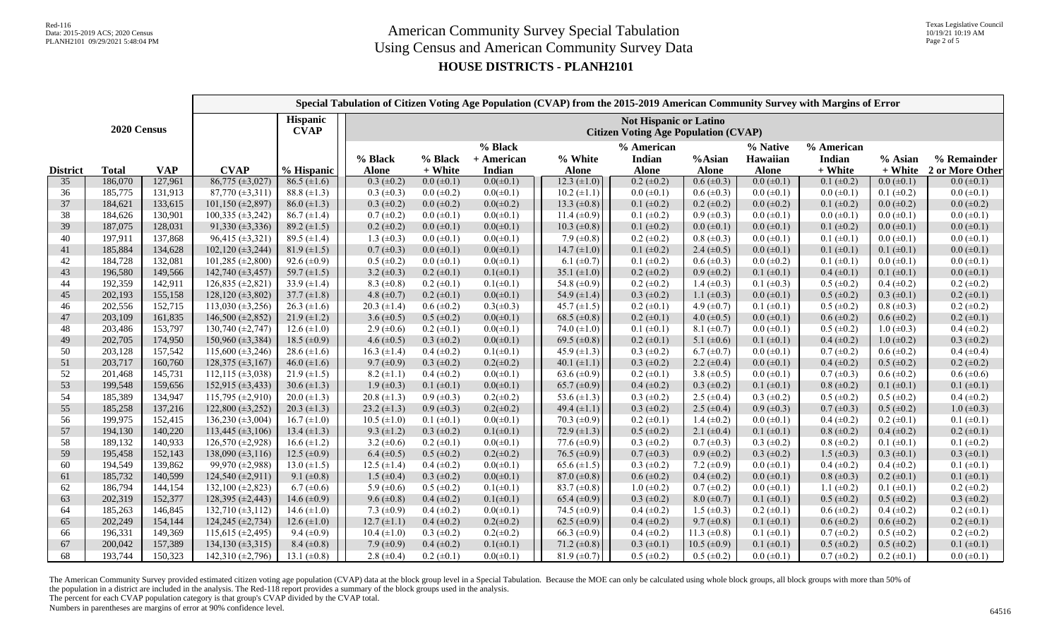## **HOUSE DISTRICTS - PLANH2101**

|                                               |              |            |                                                                              |                    |                   |                   |                       |                    |                      |                    |                      | Special Tabulation of Citizen Voting Age Population (CVAP) from the 2015-2019 American Community Survey with Margins of Error |                     |                     |
|-----------------------------------------------|--------------|------------|------------------------------------------------------------------------------|--------------------|-------------------|-------------------|-----------------------|--------------------|----------------------|--------------------|----------------------|-------------------------------------------------------------------------------------------------------------------------------|---------------------|---------------------|
| <b>Hispanic</b><br>2020 Census<br><b>CVAP</b> |              |            | <b>Not Hispanic or Latino</b><br><b>Citizen Voting Age Population (CVAP)</b> |                    |                   |                   |                       |                    |                      |                    |                      |                                                                                                                               |                     |                     |
|                                               |              |            |                                                                              |                    | % Black           | % Black           | % Black<br>+ American | % White            | % American<br>Indian | %Asian             | % Native<br>Hawaiian | % American<br>Indian                                                                                                          | % Asian             | % Remainder         |
| <b>District</b>                               | <b>Total</b> | <b>VAP</b> | <b>CVAP</b>                                                                  | % Hispanic         | <b>Alone</b>      | + White           | Indian                | <b>Alone</b>       | <b>Alone</b>         | <b>Alone</b>       | <b>Alone</b>         | + White                                                                                                                       | + White             | 2 or More Other     |
| 35                                            | 186,070      | 127,961    | $86,775 \ (\pm 3,027)$                                                       | $86.5 (\pm 1.6)$   | $0.3 \ (\pm 0.2)$ | $0.0 \ (\pm 0.1)$ | $0.0(\pm 0.1)$        | $12.3 (\pm 1.0)$   | $0.2 (\pm 0.2)$      | $0.6 (\pm 0.3)$    | $0.0 (\pm 0.1)$      | $0.1 (\pm 0.2)$                                                                                                               | $0.0 (\pm 0.1)$     | $0.0 \ (\pm 0.1)$   |
| 36                                            | 185,775      | 131,913    | $87,770 (\pm 3,311)$                                                         | 88.8 $(\pm 1.3)$   | $0.3 \ (\pm 0.3)$ | $0.0 \ (\pm 0.2)$ | $0.0(\pm 0.1)$        | $10.2 (\pm 1.1)$   | $0.0$ ( $\pm 0.1$ )  | $0.6 (\pm 0.3)$    | $0.0 (\pm 0.1)$      | $0.0 \ (\pm 0.1)$                                                                                                             | $0.1 (\pm 0.2)$     | $0.0 \ (\pm 0.1)$   |
| 37                                            | 184,621      | 133,615    | $101,150 \ (\pm 2,897)$                                                      | $86.0 \ (\pm 1.3)$ | $0.3 \ (\pm 0.2)$ | $0.0 \ (\pm 0.2)$ | $0.0(\pm 0.2)$        | 13.3 $(\pm 0.8)$   | $0.1 (\pm 0.2)$      | $0.2 \ (\pm 0.2)$  | $0.0 \ (\pm 0.2)$    | $0.1 (\pm 0.2)$                                                                                                               | $0.0 (\pm 0.2)$     | $0.0 \ (\pm 0.2)$   |
| 38                                            | 184,626      | 130,901    | $\overline{100,335}$ (±3,242)                                                | $86.7 (\pm 1.4)$   | $0.7 (\pm 0.2)$   | $0.0 \ (\pm 0.1)$ | $0.0(\pm 0.1)$        | 11.4 $(\pm 0.9)$   | $0.1 (\pm 0.2)$      | $0.9 \ (\pm 0.3)$  | $0.0 (\pm 0.1)$      | $0.0 \ (\pm 0.1)$                                                                                                             | $0.0 \ (\pm 0.1)$   | $0.0 \ (\pm 0.1)$   |
| 39                                            | 187,075      | 128,031    | $91,330 \ (\pm 3,336)$                                                       | $89.2 \ (\pm 1.5)$ | $0.2 \ (\pm 0.2)$ | $0.0 \ (\pm 0.1)$ | $0.0(\pm 0.1)$        | $10.3 \ (\pm 0.8)$ | $0.1 (\pm 0.2)$      | $0.0 \ (\pm 0.1)$  | $0.0 \ (\pm 0.1)$    | $0.1 (\pm 0.2)$                                                                                                               | $0.0 \ (\pm 0.1)$   | $0.0 \ (\pm 0.1)$   |
| 40                                            | 197,911      | 137,868    | $96,415 \ (\pm 3,321)$                                                       | 89.5 $(\pm 1.4)$   | 1.3 $(\pm 0.3)$   | $0.0 \ (\pm 0.1)$ | $0.0(\pm 0.1)$        | 7.9 $(\pm 0.8)$    | $0.2 (\pm 0.2)$      | $0.8 (\pm 0.3)$    | $0.0 \ (\pm 0.1)$    | $0.1 (\pm 0.1)$                                                                                                               | $0.0 \ (\pm 0.1)$   | $0.0$ ( $\pm 0.1$ ) |
| 41                                            | 185,884      | 134,628    | $102,120 \ (\pm 3,244)$                                                      | $81.9 \ (\pm 1.5)$ | $0.7 (\pm 0.3)$   | $0.0 \ (\pm 0.1)$ | $0.0(\pm 0.1)$        | 14.7 $(\pm 1.0)$   | $0.1 (\pm 0.2)$      | 2.4 $(\pm 0.5)$    | $0.0 \ (\pm 0.1)$    | $0.1 (\pm 0.1)$                                                                                                               | $0.1 (\pm 0.1)$     | $0.0 \ (\pm 0.1)$   |
| 42                                            | 184,728      | 132,081    | $101,285 \ (\pm 2,800)$                                                      | 92.6 $(\pm 0.9)$   | $0.5 (\pm 0.2)$   | $0.0 \ (\pm 0.1)$ | $0.0(\pm 0.1)$        | 6.1 $(\pm 0.7)$    | $0.1 (\pm 0.2)$      | $0.6 (\pm 0.3)$    | $0.0 (\pm 0.2)$      | $0.1 (\pm 0.1)$                                                                                                               | $0.0$ ( $\pm 0.1$ ) | $0.0$ ( $\pm 0.1$ ) |
| 43                                            | 196,580      | 149,566    | 142,740 (±3,457)                                                             | 59.7 $(\pm 1.5)$   | 3.2 $(\pm 0.3)$   | $0.2 \ (\pm 0.1)$ | $0.1(\pm 0.1)$        | 35.1 $(\pm 1.0)$   | $0.2 (\pm 0.2)$      | $0.9 \ (\pm 0.2)$  | $0.1 (\pm 0.1)$      | $0.4 (\pm 0.1)$                                                                                                               | $0.1 (\pm 0.1)$     | $0.0 \ (\pm 0.1)$   |
| 44                                            | 192,359      | 142,911    | $126,835 \ (\pm 2,821)$                                                      | 33.9 $(\pm 1.4)$   | 8.3 $(\pm 0.8)$   | $0.2 \ (\pm 0.1)$ | $0.1(\pm 0.1)$        | 54.8 $(\pm 0.9)$   | $0.2 (\pm 0.2)$      | 1.4 $(\pm 0.3)$    | $0.1 (\pm 0.3)$      | $0.5 (\pm 0.2)$                                                                                                               | $0.4~(\pm 0.2)$     | $0.2 (\pm 0.2)$     |
| 45                                            | 202,193      | 155,158    | $128,120 \ (\pm 3,802)$                                                      | $37.7 (\pm 1.8)$   | 4.8 $(\pm 0.7)$   | $0.2 \ (\pm 0.1)$ | $0.0(\pm 0.1)$        | 54.9 $(\pm 1.4)$   | $0.3 (\pm 0.2)$      | 1.1 $(\pm 0.3)$    | $0.0 (\pm 0.1)$      | $0.5 (\pm 0.2)$                                                                                                               | $0.3 \ (\pm 0.1)$   | $0.2 \ (\pm 0.1)$   |
| 46                                            | 202,556      | 152,715    | $113,030 \ (\pm 3,256)$                                                      | $26.3 \ (\pm 1.6)$ | $20.3 (\pm 1.4)$  | $0.6 \ (\pm 0.2)$ | $0.3(\pm 0.3)$        | 45.7 $(\pm 1.5)$   | $0.2 (\pm 0.1)$      | 4.9 $(\pm 0.7)$    | $0.1 (\pm 0.1)$      | $0.5 \ (\pm 0.2)$                                                                                                             | $0.8 (\pm 0.3)$     | $0.2 \ (\pm 0.2)$   |
| 47                                            | 203,109      | 161,835    | 146,500 $(\pm 2,852)$                                                        | $21.9 \ (\pm 1.2)$ | 3.6 $(\pm 0.5)$   | $0.5 \ (\pm 0.2)$ | $0.0(\pm 0.1)$        | 68.5 $(\pm 0.8)$   | $0.2 \ (\pm 0.1)$    | 4.0 $(\pm 0.5)$    | $0.0 \ (\pm 0.1)$    | $0.6 (\pm 0.2)$                                                                                                               | $0.6 (\pm 0.2)$     | $0.2 \ (\pm 0.1)$   |
| 48                                            | 203,486      | 153,797    | 130,740 (±2,747)                                                             | 12.6 $(\pm 1.0)$   | 2.9 $(\pm 0.6)$   | $0.2 \ (\pm 0.1)$ | $0.0(\pm 0.1)$        | 74.0 $(\pm 1.0)$   | $0.1 (\pm 0.1)$      | $8.1 (\pm 0.7)$    | $0.0 \ (\pm 0.1)$    | $0.5 \ (\pm 0.2)$                                                                                                             | $1.0 \ (\pm 0.3)$   | $0.4 (\pm 0.2)$     |
| 49                                            | 202,705      | 174,950    | 150,960 (±3,384)                                                             | 18.5 $(\pm 0.9)$   | 4.6 $(\pm 0.5)$   | $0.3 \ (\pm 0.2)$ | $0.0(\pm 0.1)$        | 69.5 ( $\pm$ 0.8)  | $0.2 \ (\pm 0.1)$    | 5.1 $(\pm 0.6)$    | $0.1 (\pm 0.1)$      | $0.4 (\pm 0.2)$                                                                                                               | $1.0 \ (\pm 0.2)$   | $0.3 \ (\pm 0.2)$   |
| 50                                            | 203,128      | 157,542    | 115,600 $(\pm 3, 246)$                                                       | 28.6 $(\pm 1.6)$   | 16.3 $(\pm 1.4)$  | $0.4 (\pm 0.2)$   | $0.1(\pm 0.1)$        | 45.9 $(\pm 1.3)$   | $0.3 \ (\pm 0.2)$    | $6.7 \ (\pm 0.7)$  | $0.0 \ (\pm 0.1)$    | $0.7 (\pm 0.2)$                                                                                                               | $0.6 (\pm 0.2)$     | $0.4 (\pm 0.4)$     |
| 51                                            | 203,717      | 160,760    | $128,375 \ (\pm 3,167)$                                                      | 46.0 $(\pm 1.6)$   | $9.7 (\pm 0.9)$   | $0.3 \ (\pm 0.2)$ | $0.2(\pm 0.2)$        | 40.1 $(\pm 1.1)$   | $0.3 (\pm 0.2)$      | 2.2 $(\pm 0.4)$    | $0.0 (\pm 0.1)$      | $0.4 (\pm 0.2)$                                                                                                               | $0.5 (\pm 0.2)$     | $0.2 \ (\pm 0.2)$   |
| 52                                            | 201,468      | 145,731    | $112,115 \ (\pm 3,038)$                                                      | $21.9 \ (\pm 1.5)$ | $8.2 \ (\pm 1.1)$ | $0.4 (\pm 0.2)$   | $0.0(\pm 0.1)$        | 63.6 $(\pm 0.9)$   | $0.2 (\pm 0.1)$      | 3.8 $(\pm 0.5)$    | $0.0 \ (\pm 0.1)$    | $0.7 (\pm 0.3)$                                                                                                               | $0.6 (\pm 0.2)$     | $0.6 (\pm 0.6)$     |
| 53                                            | 199,548      | 159,656    | $152,915 \ (\pm 3,433)$                                                      | 30.6 $(\pm 1.3)$   | $1.9 \ (\pm 0.3)$ | $0.1 (\pm 0.1)$   | $0.0(\pm 0.1)$        | 65.7 $(\pm 0.9)$   | $0.4 (\pm 0.2)$      | $0.3 \ (\pm 0.2)$  | $0.1 (\pm 0.1)$      | $0.8 (\pm 0.2)$                                                                                                               | $0.1 (\pm 0.1)$     | $0.1 (\pm 0.1)$     |
| 54                                            | 185,389      | 134,947    | 115,795 $(\pm 2, 910)$                                                       | 20.0 $(\pm 1.3)$   | 20.8 $(\pm 1.3)$  | $0.9 \ (\pm 0.3)$ | $0.2(\pm 0.2)$        | 53.6 $(\pm 1.3)$   | $0.3 \ (\pm 0.2)$    | 2.5 $(\pm 0.4)$    | $0.3 \ (\pm 0.2)$    | $0.5 \ (\pm 0.2)$                                                                                                             | $0.5 (\pm 0.2)$     | $0.4 (\pm 0.2)$     |
| 55                                            | 185,258      | 137,216    | 122,800 (±3,252)                                                             | $20.3 \ (\pm 1.3)$ | 23.2 $(\pm 1.3)$  | $0.9 \ (\pm 0.3)$ | $0.2(\pm 0.2)$        | 49.4 $(\pm 1.1)$   | $0.3 \ (\pm 0.2)$    | 2.5 $(\pm 0.4)$    | $0.9 (\pm 0.3)$      | $0.7 (\pm 0.3)$                                                                                                               | $0.5 (\pm 0.2)$     | $1.0 \ (\pm 0.3)$   |
| 56                                            | 199,975      | 152,415    | $136,230 \ (\pm 3,004)$                                                      | $16.7 (\pm 1.0)$   | $10.5 (\pm 1.0)$  | $0.1 (\pm 0.1)$   | $0.0(\pm 0.1)$        | 70.3 $(\pm 0.9)$   | $0.2 (\pm 0.1)$      | 1.4 $(\pm 0.2)$    | $0.0 (\pm 0.1)$      | $0.4 (\pm 0.2)$                                                                                                               | $0.2 \ (\pm 0.1)$   | $0.1 (\pm 0.1)$     |
| 57                                            | 194,130      | 140,220    | 113,445 ( $\pm$ 3,106)                                                       | $13.4 (\pm 1.3)$   | 9.3 $(\pm 1.2)$   | $0.3 \ (\pm 0.2)$ | $0.1(\pm 0.1)$        | 72.9 $(\pm 1.3)$   | $0.5 (\pm 0.2)$      | 2.1 $(\pm 0.4)$    | $0.1 (\pm 0.1)$      | $0.8 (\pm 0.2)$                                                                                                               | $0.4 (\pm 0.2)$     | $0.2 \ (\pm 0.1)$   |
| 58                                            | 189,132      | 140,933    | 126,570 (±2,928)                                                             | $16.6 (\pm 1.2)$   | 3.2 $(\pm 0.6)$   | $0.2 \ (\pm 0.1)$ | $0.0(\pm 0.1)$        | 77.6 $(\pm 0.9)$   | $0.3 \ (\pm 0.2)$    | $0.7 (\pm 0.3)$    | $0.3 (\pm 0.2)$      | $0.8 (\pm 0.2)$                                                                                                               | $0.1 (\pm 0.1)$     | $0.1 (\pm 0.2)$     |
| 59                                            | 195,458      | 152,143    | 138,090 (±3,116)                                                             | 12.5 $(\pm 0.9)$   | $6.4 \ (\pm 0.5)$ | $0.5 (\pm 0.2)$   | $0.2(\pm 0.2)$        | 76.5 $(\pm 0.9)$   | $0.7 (\pm 0.3)$      | $0.9 \ (\pm 0.2)$  | $0.3 \ (\pm 0.2)$    | $1.5 \ (\pm 0.3)$                                                                                                             | $0.3 \ (\pm 0.1)$   | $0.3 \ (\pm 0.1)$   |
| 60                                            | 194,549      | 139,862    | 99,970 (±2,988)                                                              | 13.0 $(\pm 1.5)$   | 12.5 $(\pm 1.4)$  | $0.4 (\pm 0.2)$   | $0.0(\pm 0.1)$        | 65.6 $(\pm 1.5)$   | $0.3 \ (\pm 0.2)$    | 7.2 $(\pm 0.9)$    | $0.0 (\pm 0.1)$      | $0.4 (\pm 0.2)$                                                                                                               | $0.4~(\pm 0.2)$     | $0.1 (\pm 0.1)$     |
| 61                                            | 185,732      | 140,599    | 124,540 $(\pm 2, 911)$                                                       | 9.1 $(\pm 0.8)$    | $1.5 \ (\pm 0.4)$ | $0.3 \ (\pm 0.2)$ | $0.0(\pm 0.1)$        | 87.0 $(\pm 0.8)$   | $0.6 (\pm 0.2)$      | $0.4 (\pm 0.2)$    | $0.0 (\pm 0.1)$      | $0.8 (\pm 0.3)$                                                                                                               | $0.2 \ (\pm 0.1)$   | $0.1 (\pm 0.1)$     |
| 62                                            | 186,794      | 144,154    | 132,100 $(\pm 2,823)$                                                        | $6.7 (\pm 0.6)$    | 5.9 $(\pm 0.6)$   | $0.5 \ (\pm 0.2)$ | $0.1(\pm 0.1)$        | 83.7 $(\pm 0.8)$   | $1.0 \ (\pm 0.2)$    | $0.7 (\pm 0.2)$    | $0.0 \ (\pm 0.1)$    | 1.1 $(\pm 0.2)$                                                                                                               | $0.1 (\pm 0.1)$     | $0.2 \ (\pm 0.2)$   |
| 63                                            | 202,319      | 152,377    | 128,395 (±2,443)                                                             | 14.6 $(\pm 0.9)$   | 9.6 $(\pm 0.8)$   | $0.4 (\pm 0.2)$   | $0.1(\pm 0.1)$        | 65.4 $(\pm 0.9)$   | $0.3 (\pm 0.2)$      | $8.0 \ (\pm 0.7)$  | $0.1 (\pm 0.1)$      | $0.5 (\pm 0.2)$                                                                                                               | $0.5 (\pm 0.2)$     | $0.3 (\pm 0.2)$     |
| 64                                            | 185,263      | 146,845    | $132,710 \ (\pm 3,112)$                                                      | 14.6 $(\pm 1.0)$   | 7.3 $(\pm 0.9)$   | $0.4 (\pm 0.2)$   | $0.0(\pm 0.1)$        | 74.5 $(\pm 0.9)$   | $0.4~(\pm 0.2)$      | $1.5 \ (\pm 0.3)$  | $0.2 \ (\pm 0.1)$    | $0.6 (\pm 0.2)$                                                                                                               | $0.4 (\pm 0.2)$     | $0.2 \ (\pm 0.1)$   |
| 65                                            | 202,249      | 154,144    | 124,245 (±2,734)                                                             | $12.6 (\pm 1.0)$   | $12.7 (\pm 1.1)$  | $0.4 (\pm 0.2)$   | $0.2(\pm 0.2)$        | 62.5 $(\pm 0.9)$   | $0.4 (\pm 0.2)$      | $9.7 (\pm 0.8)$    | $0.1 (\pm 0.1)$      | $0.6 (\pm 0.2)$                                                                                                               | $0.6 (\pm 0.2)$     | $0.2 \ (\pm 0.1)$   |
| 66                                            | 196,331      | 149,369    | 115,615 (±2,495)                                                             | 9.4 $(\pm 0.9)$    | $10.4 (\pm 1.0)$  | $0.3 \ (\pm 0.2)$ | $0.2(\pm 0.2)$        | 66.3 $(\pm 0.9)$   | $0.4~(\pm 0.2)$      | 11.3 $(\pm 0.8)$   | $0.1 (\pm 0.1)$      | $0.7 (\pm 0.2)$                                                                                                               | $0.5 (\pm 0.2)$     | $0.2 \ (\pm 0.2)$   |
| 67                                            | 200,042      | 157,389    | $134,130 \ (\pm 3,315)$                                                      | $8.4 (\pm 0.8)$    | 7.9 $(\pm 0.9)$   | $0.4 (\pm 0.2)$   | $0.1(\pm 0.1)$        | 71.2 $(\pm 0.8)$   | $0.3 \ (\pm 0.1)$    | $10.5 \ (\pm 0.9)$ | $0.1 (\pm 0.1)$      | $0.5 (\pm 0.2)$                                                                                                               | $0.5 (\pm 0.2)$     | $0.1 (\pm 0.1)$     |
| 68                                            | 193,744      | 150,323    | 142,310 $(\pm 2,796)$                                                        | 13.1 $(\pm 0.8)$   | 2.8 $(\pm 0.4)$   | $0.2 \ (\pm 0.1)$ | $0.0(\pm 0.1)$        | $81.9 \ (\pm 0.7)$ | $0.5 (\pm 0.2)$      | $0.5 (\pm 0.2)$    | $0.0 \ (\pm 0.1)$    | $0.7 (\pm 0.2)$                                                                                                               | $0.2 \ (\pm 0.1)$   | $0.0 \ (\pm 0.1)$   |

The American Community Survey provided estimated citizen voting age population (CVAP) data at the block group level in a Special Tabulation. Because the MOE can only be calculated using whole block groups, all block groups the population in a district are included in the analysis. The Red-118 report provides a summary of the block groups used in the analysis.

The percent for each CVAP population category is that group's CVAP divided by the CVAP total.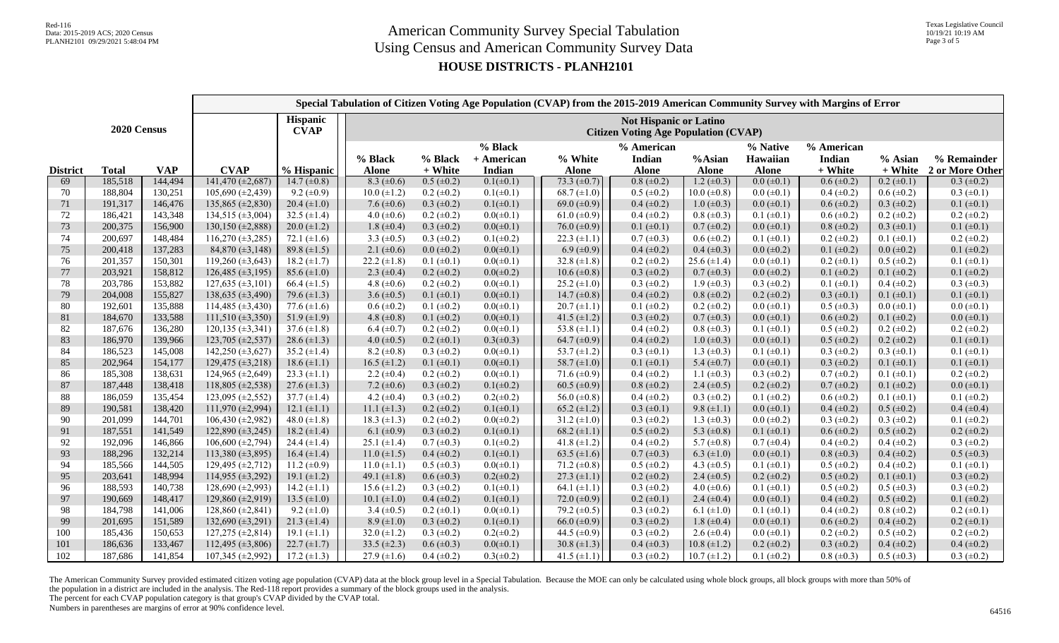## **HOUSE DISTRICTS - PLANH2101**

|                 |              |            | Special Tabulation of Citizen Voting Age Population (CVAP) from the 2015-2019 American Community Survey with Margins of Error |                                                                              |                    |                                                                                                                               |                |                    |                   |                    |                   |                   |                   |                   |
|-----------------|--------------|------------|-------------------------------------------------------------------------------------------------------------------------------|------------------------------------------------------------------------------|--------------------|-------------------------------------------------------------------------------------------------------------------------------|----------------|--------------------|-------------------|--------------------|-------------------|-------------------|-------------------|-------------------|
| 2020 Census     |              |            | <b>Hispanic</b><br><b>CVAP</b>                                                                                                | <b>Not Hispanic or Latino</b><br><b>Citizen Voting Age Population (CVAP)</b> |                    |                                                                                                                               |                |                    |                   |                    |                   |                   |                   |                   |
|                 |              |            |                                                                                                                               |                                                                              | % Black            | % Black<br>% American<br>% Native<br>% American<br>% Black<br>% White<br>Hawaiian<br>+ American<br>Indian<br>%Asian<br>Indian |                |                    |                   |                    |                   |                   |                   | % Remainder       |
| <b>District</b> | <b>Total</b> | <b>VAP</b> | <b>CVAP</b>                                                                                                                   | % Hispanic                                                                   | <b>Alone</b>       | + White                                                                                                                       | Indian         | <b>Alone</b>       | <b>Alone</b>      | <b>Alone</b>       | <b>Alone</b>      | + White           | + White           | 2 or More Other   |
| 69              | 185,518      | 144,494    | $141,470 \ (\pm 2,687)$                                                                                                       | $14.7 (\pm 0.8)$                                                             | 8.3 $(\pm 0.6)$    | $0.5 (\pm 0.2)$                                                                                                               | $0.1(\pm 0.1)$ | $73.3 (\pm 0.7)$   | $0.8 (\pm 0.2)$   | $1.2 \ (\pm 0.3)$  | $0.0 (\pm 0.1)$   | $0.6 (\pm 0.2)$   | $0.2 (\pm 0.1)$   | $0.3 (\pm 0.2)$   |
| 70              | 188,804      | 130,251    | 105,690 (±2,439)                                                                                                              | $9.2 \ (\pm 0.9)$                                                            | $10.0 \ (\pm 1.2)$ | $0.2 \ (\pm 0.2)$                                                                                                             | $0.1(\pm 0.1)$ | 68.7 $(\pm 1.0)$   | $0.5 (\pm 0.2)$   | $10.0 \ (\pm 0.8)$ | $0.0 (\pm 0.1)$   | $0.4 (\pm 0.2)$   | $0.6 (\pm 0.2)$   | $0.3 \ (\pm 0.1)$ |
| 71              | 191,317      | 146,476    | 135,865 $(\pm 2,830)$                                                                                                         | $20.4 (\pm 1.0)$                                                             | 7.6 $(\pm 0.6)$    | $0.3 \ (\pm 0.2)$                                                                                                             | $0.1(\pm 0.1)$ | 69.0 $(\pm 0.9)$   | $0.4 (\pm 0.2)$   | $1.0 \ (\pm 0.3)$  | $0.0 \ (\pm 0.1)$ | $0.6 (\pm 0.2)$   | $0.3 \ (\pm 0.2)$ | $0.1 (\pm 0.1)$   |
| 72              | 186,421      | 143,348    | 134,515 (±3,004)                                                                                                              | 32.5 $(\pm 1.4)$                                                             | 4.0 $(\pm 0.6)$    | $0.2 \ (\pm 0.2)$                                                                                                             | $0.0(\pm 0.1)$ | 61.0 $(\pm 0.9)$   | $0.4 (\pm 0.2)$   | $0.8 (\pm 0.3)$    | $0.1 (\pm 0.1)$   | $0.6 (\pm 0.2)$   | $0.2 \ (\pm 0.2)$ | $0.2 \ (\pm 0.2)$ |
| 73              | 200,375      | 156,900    | 130,150 (±2,888)                                                                                                              | $20.0 \ (\pm 1.2)$                                                           | 1.8 $(\pm 0.4)$    | $0.3 \ (\pm 0.2)$                                                                                                             | $0.0(\pm 0.1)$ | 76.0 $(\pm 0.9)$   | $0.1 (\pm 0.1)$   | $0.7 (\pm 0.2)$    | $0.0 \ (\pm 0.1)$ | $0.8 (\pm 0.2)$   | $0.3 \ (\pm 0.1)$ | $0.1 (\pm 0.1)$   |
| 74              | 200,697      | 148,484    | $116,270 \ (\pm 3,285)$                                                                                                       | 72.1 $(\pm 1.6)$                                                             | 3.3 $(\pm 0.5)$    | $0.3 \ (\pm 0.2)$                                                                                                             | $0.1(\pm 0.2)$ | 22.3 $(\pm 1.1)$   | $0.7 (\pm 0.3)$   | $0.6 (\pm 0.2)$    | $0.1 (\pm 0.1)$   | $0.2 \ (\pm 0.2)$ | $0.1 (\pm 0.1)$   | $0.2 \ (\pm 0.2)$ |
| 75              | 200,418      | 137,283    | 84,870 $(\pm 3, 148)$                                                                                                         | 89.8 $(\pm 1.5)$                                                             | 2.1 $(\pm 0.6)$    | $0.0 \ (\pm 0.2)$                                                                                                             | $0.0(\pm 0.1)$ | $6.9 \ (\pm 0.9)$  | $0.4 (\pm 0.2)$   | $0.4 \ (\pm 0.3)$  | $0.0 (\pm 0.2)$   | $0.1 (\pm 0.2)$   | $0.0 \ (\pm 0.2)$ | $0.1 (\pm 0.2)$   |
| 76              | 201,357      | 150,301    | 119,260 $(\pm 3,643)$                                                                                                         | 18.2 $(\pm 1.7)$                                                             | 22.2 $(\pm 1.8)$   | $0.1 (\pm 0.1)$                                                                                                               | $0.0(\pm 0.1)$ | 32.8 $(\pm 1.8)$   | $0.2 (\pm 0.2)$   | 25.6 $(\pm 1.4)$   | $0.0 (\pm 0.1)$   | $0.2 \ (\pm 0.1)$ | $0.5 (\pm 0.2)$   | $0.1 (\pm 0.1)$   |
| 77              | 203,921      | 158,812    | 126,485 (±3,195)                                                                                                              | $85.6 \ (\pm 1.0)$                                                           | 2.3 $(\pm 0.4)$    | $0.2 \ (\pm 0.2)$                                                                                                             | $0.0(\pm 0.2)$ | $10.6 (\pm 0.8)$   | $0.3 (\pm 0.2)$   | $0.7 (\pm 0.3)$    | $0.0 \ (\pm 0.2)$ | $0.1 (\pm 0.2)$   | $0.1 (\pm 0.2)$   | $0.1 (\pm 0.2)$   |
| 78              | 203,786      | 153,882    | $127,635 \ (\pm 3,101)$                                                                                                       | 66.4 $(\pm 1.5)$                                                             | 4.8 $(\pm 0.6)$    | $0.2 \ (\pm 0.2)$                                                                                                             | $0.0(\pm 0.1)$ | $25.2 (\pm 1.0)$   | $0.3 (\pm 0.2)$   | $1.9 \ (\pm 0.3)$  | $0.3 (\pm 0.2)$   | $0.1 (\pm 0.1)$   | $0.4~(\pm 0.2)$   | $0.3 (\pm 0.3)$   |
| 79              | 204,008      | 155,827    | 138,635 (±3,490)                                                                                                              | 79.6 $(\pm 1.3)$                                                             | 3.6 $(\pm 0.5)$    | $0.1 (\pm 0.1)$                                                                                                               | $0.0(\pm 0.1)$ | 14.7 $(\pm 0.8)$   | $0.4 (\pm 0.2)$   | $0.8 (\pm 0.2)$    | $0.2 (\pm 0.2)$   | $0.3 \ (\pm 0.1)$ | $0.1 (\pm 0.1)$   | $0.1 (\pm 0.1)$   |
| 80              | 192,601      | 135,888    | 114,485 $(\pm 3, 430)$                                                                                                        | 77.6 $(\pm 1.6)$                                                             | $0.6 (\pm 0.2)$    | $0.1 (\pm 0.2)$                                                                                                               | $0.0(\pm 0.1)$ | $20.7 \ (\pm 1.1)$ | $0.1 (\pm 0.2)$   | $0.2 \ (\pm 0.2)$  | $0.0 \ (\pm 0.1)$ | $0.5 \ (\pm 0.3)$ | $0.0 \ (\pm 0.1)$ | $0.0 \ (\pm 0.1)$ |
| 81              | 184,670      | 133,588    | $111,510 \ (\pm 3,350)$                                                                                                       | 51.9 $(\pm 1.9)$                                                             | 4.8 $(\pm 0.8)$    | $0.1 (\pm 0.2)$                                                                                                               | $0.0(\pm 0.1)$ | 41.5 $(\pm 1.2)$   | $0.3 (\pm 0.2)$   | $0.7 (\pm 0.3)$    | $0.0 \ (\pm 0.1)$ | $0.6 (\pm 0.2)$   | $0.1 (\pm 0.2)$   | $0.0 \ (\pm 0.1)$ |
| 82              | 187,676      | 136,280    | $120, 135 \ (\pm 3, 341)$                                                                                                     | 37.6 $(\pm 1.8)$                                                             | $6.4 \ (\pm 0.7)$  | $0.2 \ (\pm 0.2)$                                                                                                             | $0.0(\pm 0.1)$ | 53.8 $(\pm 1.1)$   | $0.4~(\pm 0.2)$   | $0.8 (\pm 0.3)$    | $0.1 (\pm 0.1)$   | $0.5 \ (\pm 0.2)$ | $0.2 \ (\pm 0.2)$ | $0.2 \ (\pm 0.2)$ |
| 83              | 186,970      | 139,966    | 123,705 (±2,537)                                                                                                              | 28.6 $(\pm 1.3)$                                                             | 4.0 $(\pm 0.5)$    | $0.2 \ (\pm 0.1)$                                                                                                             | $0.3(\pm 0.3)$ | 64.7 ( $\pm$ 0.9)  | $0.4 (\pm 0.2)$   | $1.0 \ (\pm 0.3)$  | $0.0 \ (\pm 0.1)$ | $0.5 (\pm 0.2)$   | $0.2 \ (\pm 0.2)$ | $0.1 (\pm 0.1)$   |
| 84              | 186,523      | 145,008    | 142,250 $(\pm 3,627)$                                                                                                         | 35.2 $(\pm 1.4)$                                                             | $8.2 \ (\pm 0.8)$  | $0.3 \ (\pm 0.2)$                                                                                                             | $0.0(\pm 0.1)$ | 53.7 $(\pm 1.2)$   | $0.3 \ (\pm 0.1)$ | 1.3 $(\pm 0.3)$    | $0.1 (\pm 0.1)$   | $0.3 \ (\pm 0.2)$ | $0.3 \ (\pm 0.1)$ | $0.1 (\pm 0.1)$   |
| 85              | 202,964      | 154,177    | $129,475 \ (\pm 3,218)$                                                                                                       | $18.6 (\pm 1.1)$                                                             | $16.5 (\pm 1.2)$   | $0.1 (\pm 0.1)$                                                                                                               | $0.0(\pm 0.1)$ | 58.7 $(\pm 1.0)$   | $0.1 (\pm 0.1)$   | 5.4 $(\pm 0.7)$    | $0.0 (\pm 0.1)$   | $0.3 \ (\pm 0.2)$ | $0.1 (\pm 0.1)$   | $0.1 (\pm 0.1)$   |
| 86              | 185,308      | 138,631    | $124,965 \ (\pm 2,649)$                                                                                                       | 23.3 $(\pm 1.1)$                                                             | 2.2 $(\pm 0.4)$    | $0.2 \ (\pm 0.2)$                                                                                                             | $0.0(\pm 0.1)$ | 71.6 $(\pm 0.9)$   | $0.4 (\pm 0.2)$   | 1.1 $(\pm 0.3)$    | $0.3 \ (\pm 0.2)$ | $0.7 (\pm 0.2)$   | $0.1 (\pm 0.1)$   | $0.2 \ (\pm 0.2)$ |
| 87              | 187,448      | 138,418    | 118,805 ( $\pm$ 2,538)                                                                                                        | 27.6 $(\pm 1.3)$                                                             | 7.2 $(\pm 0.6)$    | $0.3 \ (\pm 0.2)$                                                                                                             | $0.1(\pm 0.2)$ | 60.5 $(\pm 0.9)$   | $0.8 (\pm 0.2)$   | 2.4 $(\pm 0.5)$    | $0.2 \ (\pm 0.2)$ | $0.7 (\pm 0.2)$   | $0.1 (\pm 0.2)$   | $0.0 \ (\pm 0.1)$ |
| 88              | 186,059      | 135,454    | 123,095 (±2,552)                                                                                                              | 37.7 $(\pm 1.4)$                                                             | 4.2 $(\pm 0.4)$    | $0.3 \ (\pm 0.2)$                                                                                                             | $0.2(\pm 0.2)$ | 56.0 $(\pm 0.8)$   | $0.4 (\pm 0.2)$   | $0.3 \ (\pm 0.2)$  | $0.1 (\pm 0.2)$   | $0.6 (\pm 0.2)$   | $0.1 (\pm 0.1)$   | $0.1 (\pm 0.2)$   |
| 89              | 190,581      | 138,420    | 111,970 (±2,994)                                                                                                              | $12.1 (\pm 1.1)$                                                             | 11.1 $(\pm 1.3)$   | $0.2 \ (\pm 0.2)$                                                                                                             | $0.1(\pm 0.1)$ | 65.2 $(\pm 1.2)$   | $0.3 (\pm 0.1)$   | $9.8 (\pm 1.1)$    | $0.0 \ (\pm 0.1)$ | $0.4 (\pm 0.2)$   | $0.5 (\pm 0.2)$   | $0.4 (\pm 0.4)$   |
| 90              | 201,099      | 144,701    | 106,430 $(\pm 2,982)$                                                                                                         | 48.0 $(\pm 1.8)$                                                             | 18.3 $(\pm 1.3)$   | $0.2 \ (\pm 0.2)$                                                                                                             | $0.0(\pm 0.2)$ | 31.2 $(\pm 1.0)$   | $0.3 (\pm 0.2)$   | 1.3 $(\pm 0.3)$    | $0.0 (\pm 0.2)$   | $0.3 \ (\pm 0.2)$ | $0.3 \ (\pm 0.2)$ | $0.1 (\pm 0.2)$   |
| 91              | 187,551      | 141,549    | 122,890 (±3,245)                                                                                                              | $18.2 (\pm 1.4)$                                                             | 6.1 $(\pm 0.9)$    | $0.3 \ (\pm 0.2)$                                                                                                             | $0.1(\pm 0.1)$ | 68.2 $(\pm 1.1)$   | $0.5 (\pm 0.2)$   | 5.3 $(\pm 0.8)$    | $0.1 (\pm 0.1)$   | $0.6 (\pm 0.2)$   | $0.5 (\pm 0.2)$   | $0.2 \ (\pm 0.2)$ |
| 92              | 192,096      | 146,866    | 106,600 $(\pm 2,794)$                                                                                                         | 24.4 $(\pm 1.4)$                                                             | $25.1 (\pm 1.4)$   | $0.7 (\pm 0.3)$                                                                                                               | $0.1(\pm 0.2)$ | 41.8 $(\pm 1.2)$   | $0.4~(\pm 0.2)$   | 5.7 ( $\pm$ 0.8)   | $0.7 (\pm 0.4)$   | $0.4 (\pm 0.2)$   | $0.4 (\pm 0.2)$   | $0.3 \ (\pm 0.2)$ |
| 93              | 188,296      | 132,214    | 113,380 (±3,895)                                                                                                              | $16.4 (\pm 1.4)$                                                             | $11.0 \ (\pm 1.5)$ | $0.4 (\pm 0.2)$                                                                                                               | $0.1(\pm 0.1)$ | 63.5 $(\pm 1.6)$   | $0.7 (\pm 0.3)$   | 6.3 $(\pm 1.0)$    | $0.0 \ (\pm 0.1)$ | $0.8 (\pm 0.3)$   | $0.4 (\pm 0.2)$   | $0.5 \ (\pm 0.3)$ |
| 94              | 185,566      | 144,505    | 129,495 (±2,712)                                                                                                              | 11.2 ( $\pm 0.9$ )                                                           | $11.0 (\pm 1.1)$   | $0.5 \ (\pm 0.3)$                                                                                                             | $0.0(\pm 0.1)$ | 71.2 $(\pm 0.8)$   | $0.5 (\pm 0.2)$   | 4.3 $(\pm 0.5)$    | $0.1 (\pm 0.1)$   | $0.5 (\pm 0.2)$   | $0.4~(\pm 0.2)$   | $0.1 (\pm 0.1)$   |
| 95              | 203,641      | 148,994    | 114,955 (±3,292)                                                                                                              | 19.1 $(\pm 1.2)$                                                             | 49.1 $(\pm 1.8)$   | $0.6 \ (\pm 0.3)$                                                                                                             | $0.2(\pm 0.2)$ | $27.3 \ (\pm 1.1)$ | $0.2 (\pm 0.2)$   | 2.4 $(\pm 0.5)$    | $0.2 (\pm 0.2)$   | $0.5 (\pm 0.2)$   | $0.1 (\pm 0.1)$   | $0.3 \ (\pm 0.2)$ |
| 96              | 188,593      | 140,738    | 128,690 (±2,993)                                                                                                              | 14.2 $(\pm 1.1)$                                                             | $15.6 (\pm 1.2)$   | $0.3 \ (\pm 0.2)$                                                                                                             | $0.1(\pm 0.1)$ | 64.1 $(\pm 1.1)$   | $0.3 (\pm 0.2)$   | 4.0 $(\pm 0.6)$    | $0.1 (\pm 0.1)$   | $0.5 \ (\pm 0.2)$ | $0.5 \ (\pm 0.3)$ | $0.3 \ (\pm 0.2)$ |
| 97              | 190,669      | 148,417    | 129,860 (±2,919)                                                                                                              | 13.5 $(\pm 1.0)$                                                             | $10.1 (\pm 1.0)$   | $0.4 (\pm 0.2)$                                                                                                               | $0.1(\pm 0.1)$ | 72.0 $(\pm 0.9)$   | $0.2 \ (\pm 0.1)$ | 2.4 $(\pm 0.4)$    | $0.0 \ (\pm 0.1)$ | $0.4 (\pm 0.2)$   | $0.5 (\pm 0.2)$   | $0.1 (\pm 0.2)$   |
| 98              | 184,798      | 141,006    | $128,860 \ (\pm 2,841)$                                                                                                       | $9.2 \ (\pm 1.0)$                                                            | 3.4 $(\pm 0.5)$    | $0.2 \ (\pm 0.1)$                                                                                                             | $0.0(\pm 0.1)$ | 79.2 $(\pm 0.5)$   | $0.3 \ (\pm 0.2)$ | 6.1 $(\pm 1.0)$    | $0.1 (\pm 0.1)$   | $0.4 (\pm 0.2)$   | $0.8 (\pm 0.2)$   | $0.2 \ (\pm 0.1)$ |
| 99              | 201,695      | 151,589    | 132,690 (±3,291)                                                                                                              | $21.3 \ (\pm 1.4)$                                                           | $8.9 \ (\pm 1.0)$  | $0.3 \ (\pm 0.2)$                                                                                                             | $0.1(\pm 0.1)$ | 66.0 $(\pm 0.9)$   | $0.3 (\pm 0.2)$   | $1.8 (\pm 0.4)$    | $0.0 (\pm 0.1)$   | $0.6 (\pm 0.2)$   | $0.4 (\pm 0.2)$   | $0.2 \ (\pm 0.1)$ |
| 100             | 185,436      | 150,653    | 127,275 (±2,814)                                                                                                              | 19.1 $(\pm 1.1)$                                                             | 32.0 $(\pm 1.2)$   | $0.3 \ (\pm 0.2)$                                                                                                             | $0.2(\pm 0.2)$ | 44.5 $(\pm 0.9)$   | $0.3 \ (\pm 0.2)$ | 2.6 $(\pm 0.4)$    | $0.0 \ (\pm 0.1)$ | $0.2 \ (\pm 0.2)$ | $0.5 (\pm 0.2)$   | $0.2 \ (\pm 0.2)$ |
| 101             | 186,636      | 133,467    | 112,495 (±3,806)                                                                                                              | $22.7 \ (\pm 1.7)$                                                           | 33.5 $(\pm 2.3)$   | $0.6 \ (\pm 0.3)$                                                                                                             | $0.0(\pm 0.1)$ | 30.8 $(\pm 1.3)$   | $0.4 (\pm 0.3)$   | $10.8 (\pm 1.2)$   | $0.2 (\pm 0.2)$   | $0.3 \ (\pm 0.2)$ | $0.4 (\pm 0.2)$   | $0.4 (\pm 0.2)$   |
| 102             | 187,686      | 141,854    | $107,345 \ (\pm 2,992)$                                                                                                       | 17.2 $(\pm 1.3)$                                                             | 27.9 $(\pm 1.6)$   | $0.4 (\pm 0.2)$                                                                                                               | $0.3(\pm 0.2)$ | 41.5 $(\pm 1.1)$   | $0.3 (\pm 0.2)$   | $10.7 (\pm 1.2)$   | $0.1 (\pm 0.2)$   | $0.8 (\pm 0.3)$   | $0.5 \ (\pm 0.3)$ | $0.3 (\pm 0.2)$   |

The American Community Survey provided estimated citizen voting age population (CVAP) data at the block group level in a Special Tabulation. Because the MOE can only be calculated using whole block groups, all block groups the population in a district are included in the analysis. The Red-118 report provides a summary of the block groups used in the analysis.

The percent for each CVAP population category is that group's CVAP divided by the CVAP total.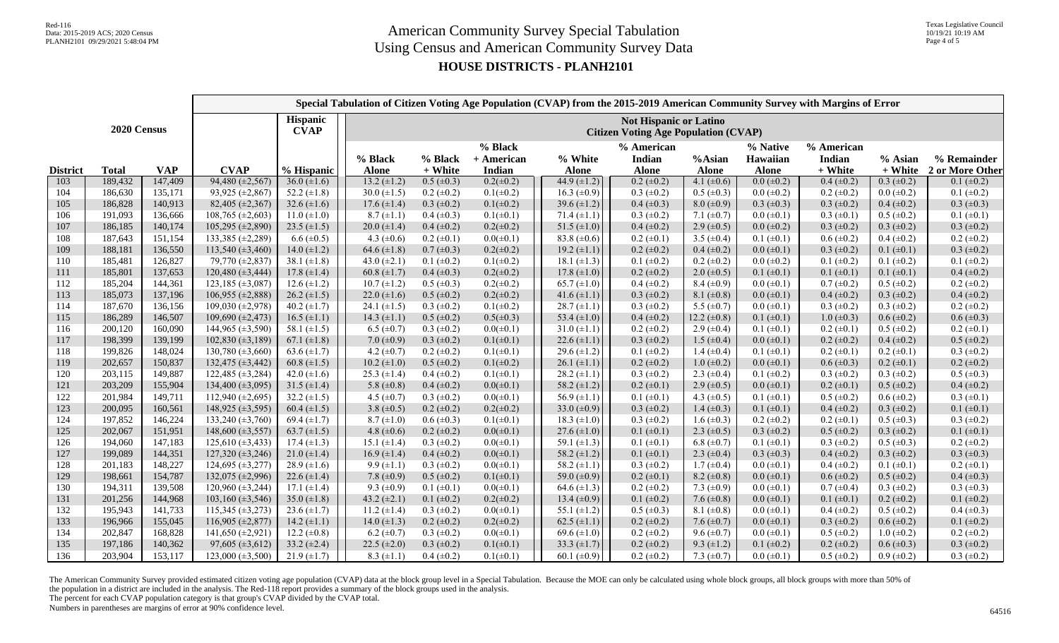## **HOUSE DISTRICTS - PLANH2101**

|                 |                    |                    |                                                   |                                                                              |                                     |                                    | Special Tabulation of Citizen Voting Age Population (CVAP) from the 2015-2019 American Community Survey with Margins of Error |                                      |                                      |                                      |                                      |                                      |                                    |                                        |
|-----------------|--------------------|--------------------|---------------------------------------------------|------------------------------------------------------------------------------|-------------------------------------|------------------------------------|-------------------------------------------------------------------------------------------------------------------------------|--------------------------------------|--------------------------------------|--------------------------------------|--------------------------------------|--------------------------------------|------------------------------------|----------------------------------------|
| 2020 Census     |                    |                    | <b>Hispanic</b><br><b>CVAP</b>                    | <b>Not Hispanic or Latino</b><br><b>Citizen Voting Age Population (CVAP)</b> |                                     |                                    |                                                                                                                               |                                      |                                      |                                      |                                      |                                      |                                    |                                        |
|                 |                    |                    |                                                   |                                                                              | % Black                             | % Black                            | % Black<br>+ American                                                                                                         | % White                              | % American<br><b>Indian</b>          | %Asian                               | % Native<br>Hawaiian                 | % American<br>Indian                 | % Asian                            | % Remainder                            |
| <b>District</b> | <b>Total</b>       | <b>VAP</b>         | <b>CVAP</b>                                       | % Hispanic                                                                   | <b>Alone</b>                        | + White                            | Indian                                                                                                                        | <b>Alone</b>                         | <b>Alone</b>                         | <b>Alone</b>                         | <b>Alone</b>                         | + White                              | + White                            | 2 or More Other                        |
| 103             | 189,432            | 147,409            | $94,480 (\pm 2,567)$                              | 36.0 $(\pm 1.6)$                                                             | $13.2 (\pm 1.2)$                    | $0.5 \ (\pm 0.3)$                  | $0.2(\pm 0.2)$                                                                                                                | 44.9 $(\pm 1.2)$                     | $0.2 \ (\pm 0.2)$                    | 4.1 $(\pm 0.6)$                      | $0.0 (\pm 0.2)$                      | $0.4 (\pm 0.2)$                      | $0.3 \ (\pm 0.2)$                  | $0.1 (\pm 0.2)$                        |
| 104             | 186,630            | 135,171            | 93,925 (±2,867)                                   | 52.2 $(\pm 1.8)$                                                             | 30.0 $(\pm 1.5)$                    | $0.2 \ (\pm 0.2)$                  | $0.1(\pm 0.2)$                                                                                                                | 16.3 $(\pm 0.9)$                     | $0.3 (\pm 0.2)$                      | $0.5 \ (\pm 0.3)$                    | $0.0 (\pm 0.2)$                      | $0.2 \ (\pm 0.2)$                    | $0.0 \ (\pm 0.2)$                  | $0.1 (\pm 0.2)$                        |
| 105             | 186,828<br>191,093 | 140,913            | 82,405 ( $\pm$ 2,367)                             | 32.6 $(\pm 1.6)$                                                             | $17.6 (\pm 1.4)$                    | $0.3 \ (\pm 0.2)$                  | $0.1(\pm 0.2)$                                                                                                                | 39.6 $(\pm 1.2)$                     | $0.4 (\pm 0.3)$                      | $8.0 \ (\pm 0.9)$                    | $0.3 \ (\pm 0.3)$                    | $0.3 \ (\pm 0.2)$                    | $0.4 (\pm 0.2)$                    | $0.3 \ (\pm 0.3)$                      |
| 106             | 186,185            | 136,666            | $\overline{108,765}$ (±2,603)<br>105,295 (±2,890) | $11.0 (\pm 1.0)$                                                             | $8.7 (\pm 1.1)$<br>20.0 $(\pm 1.4)$ | $0.4 \ (\pm 0.3)$                  | $0.1(\pm 0.1)$                                                                                                                | 71.4 $(\pm 1.1)$                     | $0.3 (\pm 0.2)$                      | 7.1 $(\pm 0.7)$                      | $0.0 (\pm 0.1)$                      | $0.3 \ (\pm 0.1)$                    | $0.5 (\pm 0.2)$                    | $0.1 (\pm 0.1)$                        |
| 107<br>108      | 187,643            | 140,174            |                                                   | 23.5 $(\pm 1.5)$                                                             |                                     | $0.4 (\pm 0.2)$                    | $0.2(\pm 0.2)$                                                                                                                | 51.5 $(\pm 1.0)$                     | $0.4 (\pm 0.2)$                      | 2.9 $(\pm 0.5)$                      | $0.0 (\pm 0.2)$                      | $0.3 \ (\pm 0.2)$                    | $0.3 \ (\pm 0.2)$                  | $0.3 \ (\pm 0.2)$                      |
| 109             | 188,181            | 151,154<br>136,550 | 133,385 $(\pm 2, 289)$                            | $6.6 \ (\pm 0.5)$                                                            | 4.3 $(\pm 0.6)$<br>64.6 $(\pm 1.8)$ | $0.2 \ (\pm 0.1)$                  | $0.0(\pm 0.1)$<br>$0.2(\pm 0.2)$                                                                                              | 83.8 $(\pm 0.6)$                     | $0.2 \ (\pm 0.1)$<br>$0.2 (\pm 0.2)$ | 3.5 $(\pm 0.4)$                      | $0.1 (\pm 0.1)$                      | $0.6 (\pm 0.2)$                      | $0.4 \ (\pm 0.2)$                  | $0.2 \ (\pm 0.2)$<br>$0.3 \ (\pm 0.2)$ |
| 110             | 185,481            | 126,827            | 113,540 (±3,460)<br>79,770 (±2,837)               | 14.0 $(\pm 1.2)$<br>38.1 $(\pm 1.8)$                                         | 43.0 $(\pm 2.1)$                    | $0.7 (\pm 0.3)$<br>$0.1 (\pm 0.2)$ | $0.1(\pm 0.2)$                                                                                                                | 19.2 $(\pm 1.1)$<br>18.1 $(\pm 1.3)$ | $0.1 (\pm 0.2)$                      | $0.4 (\pm 0.2)$<br>$0.2 \ (\pm 0.2)$ | $0.0 \ (\pm 0.1)$<br>$0.0 (\pm 0.2)$ | $0.3 \ (\pm 0.2)$<br>$0.1 (\pm 0.2)$ | $0.1 (\pm 0.1)$<br>$0.1 (\pm 0.2)$ | $0.1 (\pm 0.2)$                        |
| 111             | 185,801            | 137,653            | 120,480 (±3,444)                                  | 17.8 $(\pm 1.4)$                                                             | 60.8 $(\pm 1.7)$                    | $0.4 (\pm 0.3)$                    | $0.2(\pm 0.2)$                                                                                                                | 17.8 $(\pm 1.0)$                     | $0.2 (\pm 0.2)$                      | $2.0 \ (\pm 0.5)$                    | $0.1 (\pm 0.1)$                      | $0.1 (\pm 0.1)$                      | $0.1 (\pm 0.1)$                    | $0.4 (\pm 0.2)$                        |
| 112             | 185,204            | 144,361            | $123,185 \ (\pm 3,087)$                           | $12.6 \ (\pm 1.2)$                                                           | $10.7 (\pm 1.2)$                    | $0.5 \ (\pm 0.3)$                  | $0.2(\pm 0.2)$                                                                                                                | $65.7 (\pm 1.0)$                     | $0.4 (\pm 0.2)$                      | $8.4 (\pm 0.9)$                      | $0.0 \ (\pm 0.1)$                    | $0.7 (\pm 0.2)$                      | $0.5 (\pm 0.2)$                    | $0.2 \ (\pm 0.2)$                      |
| 113             | 185,073            | 137,196            | $106,955 \ (\pm 2,888)$                           | $26.2 \ (\pm 1.5)$                                                           | 22.0 $(\pm 1.6)$                    | $0.5 (\pm 0.2)$                    | $0.2(\pm 0.2)$                                                                                                                | 41.6 $(\pm 1.1)$                     | $0.3 \ (\pm 0.2)$                    | 8.1 $(\pm 0.8)$                      | $0.0 (\pm 0.1)$                      | $0.4 (\pm 0.2)$                      | $0.3 \ (\pm 0.2)$                  | $0.4 (\pm 0.2)$                        |
| 114             | 187,670            | 136,156            | 109,030 $(\pm 2,978)$                             | 40.2 $(\pm 1.7)$                                                             | 24.1 $(\pm 1.5)$                    | $0.3 \ (\pm 0.2)$                  | $0.1(\pm 0.2)$                                                                                                                | $28.7 \ (\pm 1.1)$                   | $0.3 (\pm 0.2)$                      | 5.5 $(\pm 0.7)$                      | $0.0 \ (\pm 0.1)$                    | $0.3 \ (\pm 0.2)$                    | $0.3 \ (\pm 0.2)$                  | $0.2 \ (\pm 0.2)$                      |
| 115             | 186,289            | 146,507            | 109,690 (±2,473)                                  | $16.5 \ (\pm 1.1)$                                                           | 14.3 $(\pm 1.1)$                    | $0.5 \ (\pm 0.2)$                  | $0.5(\pm 0.3)$                                                                                                                | 53.4 $(\pm 1.0)$                     | $0.4 (\pm 0.2)$                      | 12.2 $(\pm 0.8)$                     | $0.1 (\pm 0.1)$                      | $1.0 \ (\pm 0.3)$                    | $0.6 (\pm 0.2)$                    | $0.6 (\pm 0.3)$                        |
| 116             | 200,120            | 160,090            | 144,965 (±3,590)                                  | 58.1 $(\pm 1.5)$                                                             | 6.5 $(\pm 0.7)$                     | $0.3 \ (\pm 0.2)$                  | $0.0(\pm 0.1)$                                                                                                                | $31.0 \ (\pm 1.1)$                   | $0.2 (\pm 0.2)$                      | 2.9 $(\pm 0.4)$                      | $0.1 (\pm 0.1)$                      | $0.2 \ (\pm 0.1)$                    | $0.5 (\pm 0.2)$                    | $0.2 \ (\pm 0.1)$                      |
| 117             | 198,399            | 139,199            | 102,830 (±3,189)                                  | 67.1 $(\pm 1.8)$                                                             | 7.0 $(\pm 0.9)$                     | $0.3 \ (\pm 0.2)$                  | $0.1(\pm 0.1)$                                                                                                                | 22.6 $(\pm 1.1)$                     | $0.3 (\pm 0.2)$                      | $1.5 \ (\pm 0.4)$                    | $0.0 \ (\pm 0.1)$                    | $0.2 \ (\pm 0.2)$                    | $0.4 (\pm 0.2)$                    | $0.5 \ (\pm 0.2)$                      |
| 118             | 199,826            | 148,024            | 130,780 $(\pm 3,660)$                             | 63.6 $(\pm 1.7)$                                                             | 4.2 $(\pm 0.7)$                     | $0.2 \ (\pm 0.2)$                  | $0.1(\pm 0.1)$                                                                                                                | 29.6 $(\pm 1.2)$                     | $0.1 (\pm 0.2)$                      | 1.4 $(\pm 0.4)$                      | $0.1 (\pm 0.1)$                      | $0.2 \ (\pm 0.1)$                    | $0.2 \ (\pm 0.1)$                  | $0.3 \ (\pm 0.2)$                      |
| 119             | 202,657            | 150,837            | 132,475 (±3,442)                                  | 60.8 $(\pm 1.5)$                                                             | $10.2 (\pm 1.0)$                    | $0.5 (\pm 0.2)$                    | $0.1(\pm 0.2)$                                                                                                                | 26.1 $(\pm 1.1)$                     | $0.2 (\pm 0.2)$                      | $1.0 \ (\pm 0.2)$                    | $0.0 \ (\pm 0.1)$                    | $0.6 (\pm 0.3)$                      | $0.2 \ (\pm 0.1)$                  | $0.2 \ (\pm 0.2)$                      |
| 120             | 203,115            | 149,887            | $122,485 \ (\pm 3,284)$                           | 42.0 $(\pm 1.6)$                                                             | 25.3 $(\pm 1.4)$                    | $0.4 \ (\pm 0.2)$                  | $0.1(\pm 0.1)$                                                                                                                | $28.2 \ (\pm 1.1)$                   | $0.3 \ (\pm 0.2)$                    | 2.3 $(\pm 0.4)$                      | $0.1 (\pm 0.2)$                      | $0.3 \ (\pm 0.2)$                    | $0.3 \ (\pm 0.2)$                  | $0.5 \ (\pm 0.3)$                      |
| 121             | 203,209            | 155,904            | 134,400 (±3,095)                                  | 31.5 $(\pm 1.4)$                                                             | 5.8 $(\pm 0.8)$                     | $0.4 (\pm 0.2)$                    | $0.0(\pm 0.1)$                                                                                                                | 58.2 $(\pm 1.2)$                     | $0.2 \ (\pm 0.1)$                    | $2.9 \ (\pm 0.5)$                    | $0.0 \ (\pm 0.1)$                    | $0.2 \ (\pm 0.1)$                    | $0.5 \ (\pm 0.2)$                  | $0.4 (\pm 0.2)$                        |
| 122             | 201,984            | 149,711            | 112,940 $(\pm 2,695)$                             | 32.2 $(\pm 1.5)$                                                             | 4.5 $(\pm 0.7)$                     | $0.3 \ (\pm 0.2)$                  | $0.0(\pm 0.1)$                                                                                                                | 56.9 $(\pm 1.1)$                     | $0.1 (\pm 0.1)$                      | 4.3 $(\pm 0.5)$                      | $0.1 (\pm 0.1)$                      | $0.5 (\pm 0.2)$                      | $0.6 (\pm 0.2)$                    | $0.3 (\pm 0.1)$                        |
| 123             | 200,095            | 160,561            | 148,925 (±3,595)                                  | 60.4 $(\pm 1.5)$                                                             | 3.8 $(\pm 0.5)$                     | $0.2 \ (\pm 0.2)$                  | $0.2(\pm 0.2)$                                                                                                                | 33.0 $(\pm 0.9)$                     | $0.3 \ (\pm 0.2)$                    | 1.4 $(\pm 0.3)$                      | $0.1 (\pm 0.1)$                      | $0.4 (\pm 0.2)$                      | $0.3 \ (\pm 0.2)$                  | $0.1 (\pm 0.1)$                        |
| 124             | 197,852            | 146,224            | 133,240 $(\pm 3,760)$                             | 69.4 $(\pm 1.7)$                                                             | $8.7 (\pm 1.0)$                     | $0.6 \ (\pm 0.3)$                  | $0.1(\pm 0.1)$                                                                                                                | 18.3 $(\pm 1.0)$                     | $0.3 \ (\pm 0.2)$                    | $1.6 (\pm 0.3)$                      | $0.2 \ (\pm 0.2)$                    | $0.2 \ (\pm 0.1)$                    | $0.5 \ (\pm 0.3)$                  | $0.3 (\pm 0.2)$                        |
| 125             | 202,067            | 151,951            | $148,600 \ (\pm 3,557)$                           | 63.7 $(\pm 1.5)$                                                             | 4.8 $(\pm 0.6)$                     | $0.2 \ (\pm 0.2)$                  | $0.0(\pm 0.1)$                                                                                                                | $27.6 (\pm 1.0)$                     | $0.1 (\pm 0.1)$                      | 2.3 $(\pm 0.5)$                      | $0.3 \ (\pm 0.2)$                    | $0.5 (\pm 0.2)$                      | $0.3 \ (\pm 0.2)$                  | $0.1 (\pm 0.1)$                        |
| 126             | 194,060            | 147,183            | 125,610 $(\pm 3, 433)$                            | 17.4 $(\pm 1.3)$                                                             | 15.1 $(\pm 1.4)$                    | $0.3 \ (\pm 0.2)$                  | $0.0(\pm 0.1)$                                                                                                                | 59.1 $(\pm 1.3)$                     | $0.1 (\pm 0.1)$                      | 6.8 $(\pm 0.7)$                      | $0.1 (\pm 0.1)$                      | $0.3 \ (\pm 0.2)$                    | $0.5 \ (\pm 0.3)$                  | $0.2 \ (\pm 0.2)$                      |
| 127             | 199,089            | 144,351            | $127,320 \ (\pm 3,246)$                           | $21.0 (\pm 1.4)$                                                             | $16.9 \ (\pm 1.4)$                  | $0.4 (\pm 0.2)$                    | $0.0(\pm 0.1)$                                                                                                                | 58.2 $(\pm 1.2)$                     | $0.1 (\pm 0.1)$                      | 2.3 $(\pm 0.4)$                      | $0.3 \ (\pm 0.3)$                    | $0.4 (\pm 0.2)$                      | $0.3 \ (\pm 0.2)$                  | $0.3 \ (\pm 0.3)$                      |
| 128             | 201,183            | 148,227            | 124,695 (±3,277)                                  | 28.9 $(\pm 1.6)$                                                             | $9.9 \ (\pm 1.1)$                   | $0.3 \ (\pm 0.2)$                  | $0.0(\pm 0.1)$                                                                                                                | 58.2 $(\pm 1.1)$                     | $0.3 \ (\pm 0.2)$                    | $1.7 (\pm 0.4)$                      | $0.0 \ (\pm 0.1)$                    | $0.4 (\pm 0.2)$                      | $0.1 (\pm 0.1)$                    | $0.2 \ (\pm 0.1)$                      |
| 129             | 198,661            | 154,787            | 132,075 (±2,996)                                  | 22.6 $(\pm 1.4)$                                                             | 7.8 $(\pm 0.9)$                     | $0.5 \ (\pm 0.2)$                  | $0.1(\pm 0.1)$                                                                                                                | 59.0 $(\pm 0.9)$                     | $0.2 \ (\pm 0.1)$                    | $8.2 \ (\pm 0.8)$                    | $0.0 \ (\pm 0.1)$                    | $0.6 (\pm 0.2)$                      | $0.5 (\pm 0.2)$                    | $0.4 (\pm 0.3)$                        |
| 130             | 194,311            | 139,508            | $120,960 (\pm 3,244)$                             | 17.1 $(\pm 1.4)$                                                             | 9.3 $(\pm 0.9)$                     | $0.1 (\pm 0.1)$                    | $0.0(\pm 0.1)$                                                                                                                | $64.6 (\pm 1.3)$                     | $0.2 (\pm 0.2)$                      | 7.3 $(\pm 0.9)$                      | $0.0 \ (\pm 0.1)$                    | $0.7 (\pm 0.4)$                      | $0.3 \ (\pm 0.2)$                  | $0.3 (\pm 0.3)$                        |
| 131             | 201,256            | 144,968            | $103,160 (\pm 3,546)$                             | 35.0 $(\pm 1.8)$                                                             | 43.2 $(\pm 2.1)$                    | $0.1 (\pm 0.2)$                    | $0.2(\pm 0.2)$                                                                                                                | 13.4 $(\pm 0.9)$                     | $0.1 (\pm 0.2)$                      | 7.6 $(\pm 0.8)$                      | $0.0 \ (\pm 0.1)$                    | $0.1 (\pm 0.1)$                      | $0.2 \ (\pm 0.2)$                  | $0.1 (\pm 0.2)$                        |
| 132             | 195,943            | 141,733            | $115,345 \ (\pm 3,273)$                           | 23.6 $(\pm 1.7)$                                                             | 11.2 $(\pm 1.4)$                    | $0.3 \ (\pm 0.2)$                  | $0.0(\pm 0.1)$                                                                                                                | 55.1 $(\pm 1.2)$                     | $0.5 (\pm 0.3)$                      | 8.1 $(\pm 0.8)$                      | $0.0 \ (\pm 0.1)$                    | $0.4 (\pm 0.2)$                      | $0.5 (\pm 0.2)$                    | $0.4 (\pm 0.3)$                        |
| 133             | 196,966            | 155,045            | 116,905 (±2,877)                                  | 14.2 $(\pm 1.1)$                                                             | 14.0 $(\pm 1.3)$                    | $0.2 \ (\pm 0.2)$                  | $0.2(\pm 0.2)$                                                                                                                | 62.5 $(\pm 1.1)$                     | $0.2 (\pm 0.2)$                      | 7.6 $(\pm 0.7)$                      | $0.0 (\pm 0.1)$                      | $0.3 \ (\pm 0.2)$                    | $0.6 (\pm 0.2)$                    | $0.1 (\pm 0.2)$                        |
| 134             | 202,847            | 168,828            | $141,650 \ (\pm 2,921)$                           | 12.2 $(\pm 0.8)$                                                             | $6.2 \ (\pm 0.7)$                   | $0.3 \ (\pm 0.2)$                  | $0.0(\pm 0.1)$                                                                                                                | 69.6 $(\pm 1.0)$                     | $0.2 (\pm 0.2)$                      | $9.6 \ (\pm 0.7)$                    | $0.0 (\pm 0.1)$                      | $0.5 (\pm 0.2)$                      | $1.0 \ (\pm 0.2)$                  | $0.2 \ (\pm 0.2)$                      |
| 135             | 197,186            | 140,362            | $97,605 \ (\pm 3,612)$                            | 33.2 $(\pm 2.4)$                                                             | 22.5 $(\pm 2.0)$                    | $0.3 \ (\pm 0.2)$                  | $0.1(\pm 0.1)$                                                                                                                | 33.3 $(\pm 1.7)$                     | $0.2 (\pm 0.2)$                      | 9.3 $(\pm 1.2)$                      | $0.1 (\pm 0.2)$                      | $0.2 \ (\pm 0.2)$                    | $0.6 (\pm 0.3)$                    | $0.3 \ (\pm 0.2)$                      |
| 136             | 203,904            | 153,117            | $123,000 \ (\pm 3,500)$                           | $21.9 \ (\pm 1.7)$                                                           | 8.3 $(\pm 1.1)$                     | $0.4 (\pm 0.2)$                    | $0.1(\pm 0.1)$                                                                                                                | 60.1 $(\pm 0.9)$                     | $0.2 (\pm 0.2)$                      | 7.3 $(\pm 0.7)$                      | $0.0 \ (\pm 0.1)$                    | $0.5 \ (\pm 0.2)$                    | $0.9 \ (\pm 0.2)$                  | $0.3 \ (\pm 0.2)$                      |

The American Community Survey provided estimated citizen voting age population (CVAP) data at the block group level in a Special Tabulation. Because the MOE can only be calculated using whole block groups, all block groups the population in a district are included in the analysis. The Red-118 report provides a summary of the block groups used in the analysis.

The percent for each CVAP population category is that group's CVAP divided by the CVAP total.